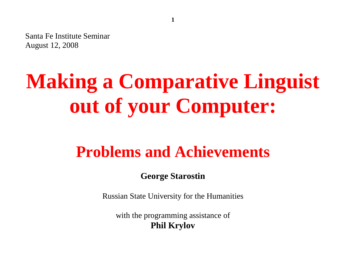Santa Fe Institute Seminar August 12, 2008

# **Making a Comparative Linguist out of your Computer:**

## **Problems and Achievements**

**George Starostin**

Russian State University for the Humanities

with the programming assistance of **Phil Krylov**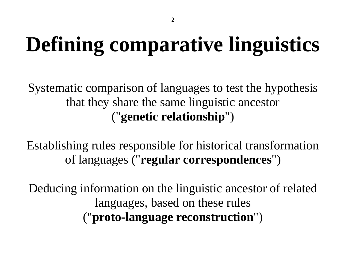# **Defining comparative linguistics**

Systematic comparison of languages to test the hypothesis that they share the same linguistic ancestor ("**genetic relationship**")

Establishing rules responsible for historical transformation of languages ("**regular correspondences**")

Deducing information on the linguistic ancestor of related languages, based on these rules ("**proto-language reconstruction**")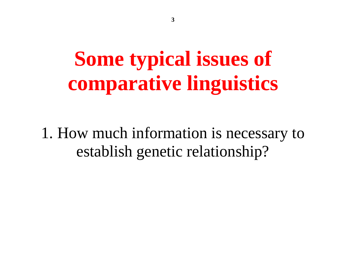# **Some typical issues of comparative linguistics**

1. How much information is necessary to establish genetic relationship?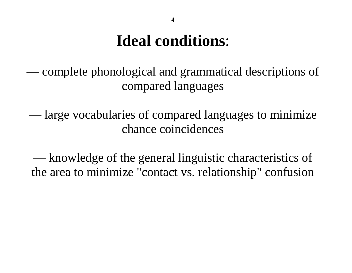### **Ideal conditions**:

— complete phonological and grammatical descriptions of compared languages

— large vocabularies of compared languages to minimize chance coincidences

— knowledge of the general linguistic characteristics of the area to minimize "contact vs. relationship" confusion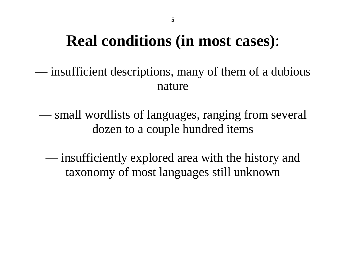### **Real conditions (in most cases)**:

— insufficient descriptions, many of them of a dubious nature

— small wordlists of languages, ranging from several dozen to a couple hundred items

— insufficiently explored area with the history and taxonomy of most languages still unknown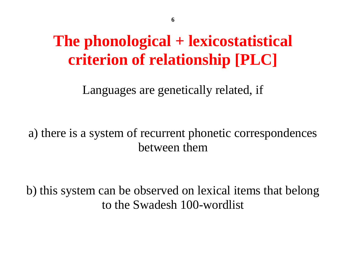## **The phonological + lexicostatistical criterion of relationship [PLC]**

Languages are genetically related, if

a) there is a system of recurrent phonetic correspondences between them

b) this system can be observed on lexical items that belong to the Swadesh 100-wordlist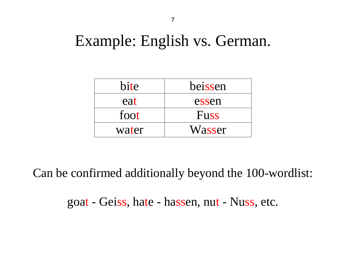### Example: English vs. German.

| bite  | beissen     |
|-------|-------------|
| eat   | essen       |
| foot  | <b>Fuss</b> |
| water | Wasser      |

Can be confirmed additionally beyond the 100-wordlist:

goat - Geiss, hate - hassen, nut - Nuss, etc.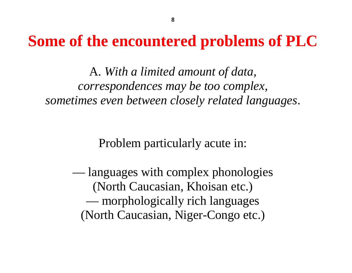### **Some of the encountered problems of PLC**

A. *With a limited amount of data, correspondences may be too complex, sometimes even between closely related languages*.

Problem particularly acute in:

— languages with complex phonologies (North Caucasian, Khoisan etc.) — morphologically rich languages (North Caucasian, Niger-Congo etc.)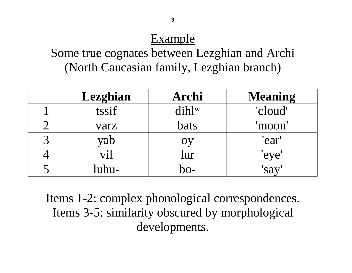### Example

Some true cognates between Lezghian and Archi (North Caucasian family, Lezghian branch)

|             | Lezghian        | Archi       | <b>Meaning</b> |
|-------------|-----------------|-------------|----------------|
|             | tssif           | $dih$ lw    | 'cloud'        |
|             | varz            | <b>bats</b> | 'moon'         |
| $\mathbf 2$ | yab             |             | 'ear'          |
|             | $\mathbf{V}$ i) | lur         | eve            |
|             |                 |             | sa             |

Items 1-2: complex phonological correspondences. Items 3-5: similarity obscured by morphological developments.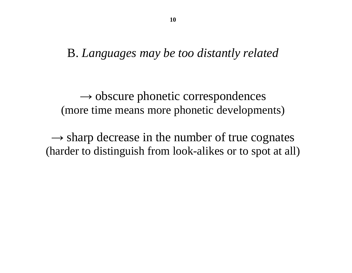#### B. *Languages may be too distantly related*

 $\rightarrow$  obscure phonetic correspondences (more time means more phonetic developments)

 $\rightarrow$  sharp decrease in the number of true cognates (harder to distinguish from look-alikes or to spot at all)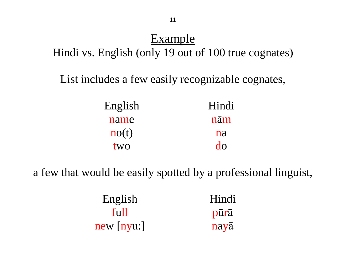### Example

Hindi vs. English (only 19 out of 100 true cognates)

List includes a few easily recognizable cognates,

| English              | Hindi |
|----------------------|-------|
| name                 | nām   |
| $\mathbf{n}$ o $(t)$ | na    |
| two                  | do    |

a few that would be easily spotted by a professional linguist,

| English      | Hindi |
|--------------|-------|
| full         | pūrā  |
| $new$ [nyu:] | nayā  |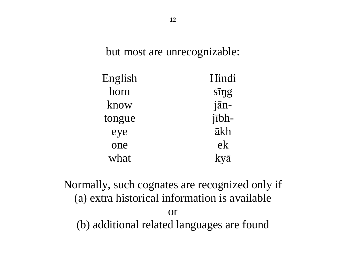but most are unrecognizable:

| English | Hindi        |
|---------|--------------|
| horn    | $s\bar{q}$   |
| know    | jān-         |
| tongue  | $i\bar{1}bh$ |
| eye     | ākh          |
| one     | ek           |
| what    | kyā          |

Normally, such cognates are recognized only if (a) extra historical information is available or (b) additional related languages are found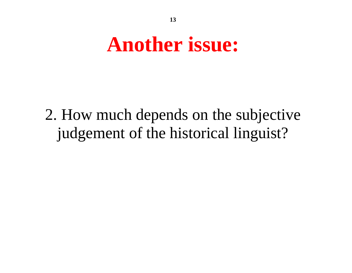# **Another issue:**

2. How much depends on the subjective judgement of the historical linguist?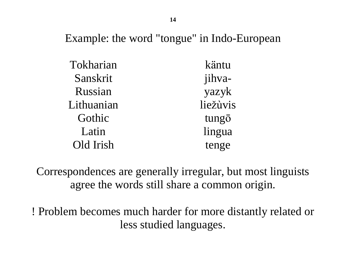Example: the word "tongue" in Indo-European

| Tokharian  | käntu    |
|------------|----------|
| Sanskrit   | jihva-   |
| Russian    | yazyk    |
| Lithuanian | liežùvis |
| Gothic     | tungō    |
| Latin      | lingua   |
| Old Irish  | tenge    |

Correspondences are generally irregular, but most linguists agree the words still share a common origin.

! Problem becomes much harder for more distantly related or less studied languages.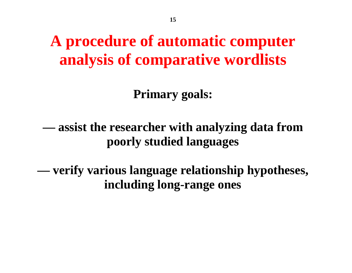## **A procedure of automatic computer analysis of comparative wordlists**

**Primary goals:** 

**— assist the researcher with analyzing data from poorly studied languages** 

**— verify various language relationship hypotheses, including long-range ones**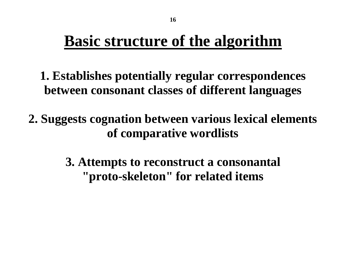## **Basic structure of the algorithm**

- **1. Establishes potentially regular correspondences between consonant classes of different languages**
- **2. Suggests cognation between various lexical elements of comparative wordlists** 
	- **3. Attempts to reconstruct a consonantal "proto-skeleton" for related items**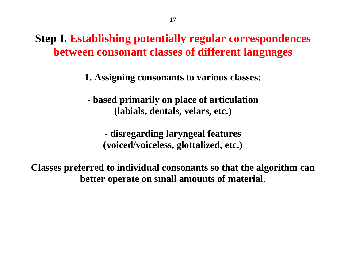**Step I. Establishing potentially regular correspondences between consonant classes of different languages**

**1. Assigning consonants to various classes:** 

**- based primarily on place of articulation (labials, dentals, velars, etc.)** 

**- disregarding laryngeal features (voiced/voiceless, glottalized, etc.)** 

**Classes preferred to individual consonants so that the algorithm can better operate on small amounts of material.**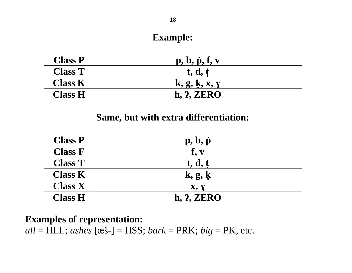#### **Example:**

| <b>Class P</b> | $p, b, \dot{p}, f, v$ |
|----------------|-----------------------|
| <b>Class T</b> | t, d, t               |
| <b>Class K</b> | k, g, k, x, y         |
| <b>Class H</b> | h, 2, ZERO            |

#### **Same, but with extra differentiation:**

| <b>Class P</b> | $\mathbf{p}, \mathbf{b}, \dot{\mathbf{p}}$ |
|----------------|--------------------------------------------|
| <b>Class F</b> | $f_{\bullet}$ v                            |
| <b>Class T</b> | t, d, t                                    |
| <b>Class K</b> | k, g, k                                    |
| <b>Class X</b> | X, Y                                       |
| <b>Class H</b> | <b>h. 2. ZERO</b>                          |

#### **Examples of representation:**

*all* = HLL; *ashes* [æš-] = HSS; *bark* = PRK; *big* = PK, etc.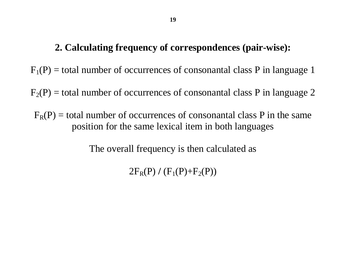#### **2. Calculating frequency of correspondences (pair-wise):**

 $F_1(P)$  = total number of occurrences of consonantal class P in language 1

 $F_2(P)$  = total number of occurrences of consonantal class P in language 2

 $F_R(P)$  = total number of occurrences of consonantal class P in the same position for the same lexical item in both languages

The overall frequency is then calculated as

 $2F_R(P) / (F_1(P) + F_2(P))$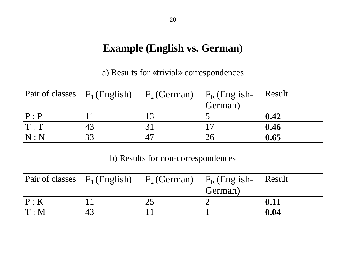#### **Example (English vs. German)**

a) Results for «trivial» correspondences

| Pair of classes $ F_1(\text{English}) $ |    | $ F_2(German) $ | $ F_R$ (English- | Result            |
|-----------------------------------------|----|-----------------|------------------|-------------------|
|                                         |    |                 | German)          |                   |
| P:P                                     |    | 1 2             |                  | 0.42              |
| T:T                                     | 43 |                 |                  | $\overline{0.46}$ |
| $\vert\, \mathrm{N} : \mathrm{N}$       | 33 | 47              |                  | 0.65              |

b) Results for non-correspondences

| Pair of classes $ F_1(\text{English}) $        |    | $ F_2(German) $ | $ F_R$ (English- | $\vert$ Result |
|------------------------------------------------|----|-----------------|------------------|----------------|
|                                                |    |                 | German)          |                |
| $\mathsf{P}:\mathsf{K}% \rightarrow\mathsf{R}$ |    |                 |                  | 0.11           |
| $\mathsf{I} \, \mathrm{T} : \mathsf{M}$        | 43 |                 |                  | 0.04           |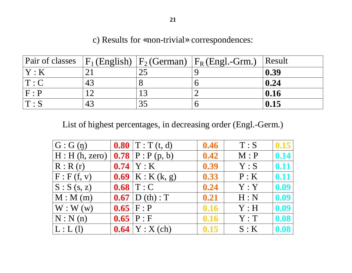#### c) Results for «non-trivial» correspondences:

|             |    |     | Pair of classes $ F_1(\text{English}) F_2(\text{German}) F_R(\text{English})$ | Result |
|-------------|----|-----|-------------------------------------------------------------------------------|--------|
| Y:K         |    | 25  |                                                                               | 0.39   |
| T: C        | 43 |     |                                                                               | 0.24   |
| F : P       |    | 1 つ |                                                                               | 0.16   |
| $T \cdot S$ | 43 |     |                                                                               | 0.15   |

List of highest percentages, in decreasing order (Engl.-Germ.)

| $ G:G(\eta) $           | <b>0.80</b>   $T : T(t, d)$ | 0.46 | T : S | 0.15 |
|-------------------------|-----------------------------|------|-------|------|
| H : H(h, zero)          | <b>0.78</b> $P : P (p, b)$  | 0.42 | M : P | 0.14 |
| R: R(r)                 | $0.74$   Y : K              | 0.39 | Y : S | 0.11 |
| F: F(f, v)              | <b>0.69</b>   K : K (k, g)  | 0.33 | P:K   | 0.11 |
| $\vert S:S(s,z)\vert$   | $0.68$ T: C                 | 0.24 | Y:Y   | 0.09 |
| $\vert M : M (m) \vert$ | $0.67$ D (th) : T           | 0.21 | H: N  | 0.09 |
| $\vert W: W(w) \vert$   | $0.65$   F : P              | 0.16 | Y : H | 0.09 |
| N:N(n)                  | 0.65   P : F                | 0.16 | Y: T  | 0.08 |
| L: L(I)                 | <b>0.64</b>   $Y : X (ch)$  | 0.15 | S:K   | 0.08 |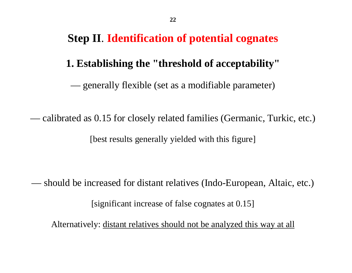#### **Step II**. **Identification of potential cognates**

#### **1. Establishing the "threshold of acceptability"**

— generally flexible (set as a modifiable parameter)

— calibrated as 0.15 for closely related families (Germanic, Turkic, etc.) [best results generally yielded with this figure]

— should be increased for distant relatives (Indo-European, Altaic, etc.) [significant increase of false cognates at 0.15]

Alternatively: distant relatives should not be analyzed this way at all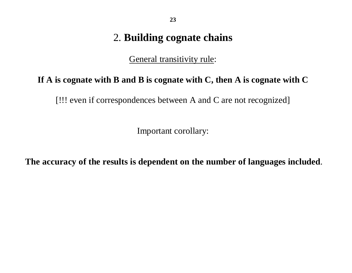#### 2. **Building cognate chains**

General transitivity rule:

#### **If A is cognate with B and B is cognate with C, then A is cognate with C**

[!!! even if correspondences between A and C are not recognized]

Important corollary:

**The accuracy of the results is dependent on the number of languages included**.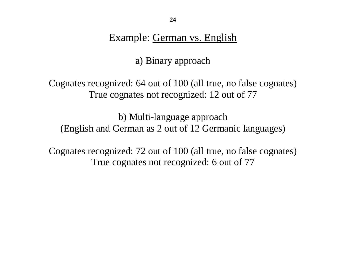Example: German vs. English

a) Binary approach

Cognates recognized: 64 out of 100 (all true, no false cognates) True cognates not recognized: 12 out of 77

b) Multi-language approach (English and German as 2 out of 12 Germanic languages)

Cognates recognized: 72 out of 100 (all true, no false cognates) True cognates not recognized: 6 out of 77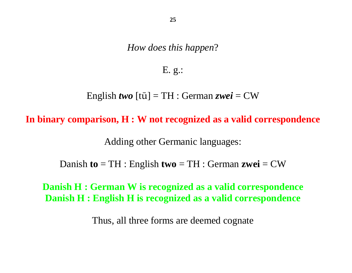*How does this happen*?

E. g.:

English *two* [tū] = TH : German *zwei* = CW

**In binary comparison, H : W not recognized as a valid correspondence** 

Adding other Germanic languages:

Danish **to** = TH : English **two** = TH : German **zwei** = CW

#### **Danish H : German W is recognized as a valid correspondence Danish H : English H is recognized as a valid correspondence**

Thus, all three forms are deemed cognate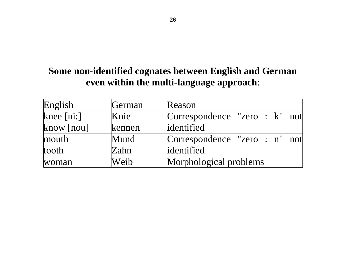#### **Some non-identified cognates between English and German even within the multi-language approach**:

| English      | German | Reason                        |  |  |  |
|--------------|--------|-------------------------------|--|--|--|
| knee $[ni$ : | Knie   | Correspondence "zero : k" not |  |  |  |
| know [nou]   | kennen | identified                    |  |  |  |
| mouth        | Mund   | Correspondence "zero : n" not |  |  |  |
| tooth        | Zahn   | identified                    |  |  |  |
| woman        | Weib   | Morphological problems        |  |  |  |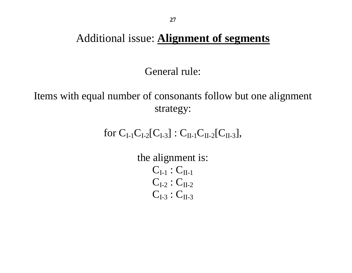#### Additional issue: **Alignment of segments**

General rule:

Items with equal number of consonants follow but one alignment strategy:

for  $C_{I-1}C_{I-2}[C_{I-3}]$  :  $C_{II-1}C_{II-2}[C_{II-3}],$ 

the alignment is:  $C_{I-1} : C_{II-1}$  $C_{I-2}$ :  $C_{II-2}$  $C_{I-3}$ :  $C_{II-3}$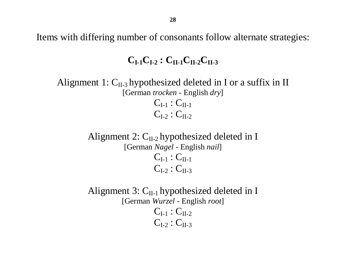Items with differing number of consonants follow alternate strategies:

#### $C_{I-1}C_{I-2}: C_{II-1}C_{II-2}C_{II-3}$

Alignment 1:  $C_{II-3}$  hypothesized deleted in I or a suffix in II [German *trocken* - English *dry*]  $C_{I-1} : C_{II-1}$  $C_{I-2}$ :  $C_{II-2}$ 

> Alignment 2:  $C_{II-2}$  hypothesized deleted in I [German *Nagel* - English *nail*]  $C_{I-1} : C_{II-1}$  $C_{L2}$ :  $C_{H-3}$

> Alignment 3:  $C_{II-1}$  hypothesized deleted in I [German *Wurzel* - English *root*]  $C_{I-1}$ :  $C_{II-2}$  $C_{I-2}$ :  $C_{II-3}$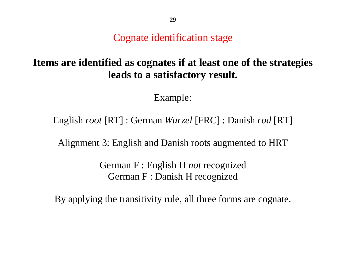Cognate identification stage

#### **Items are identified as cognates if at least one of the strategies leads to a satisfactory result.**

Example:

English *root* [RT] : German *Wurzel* [FRC] : Danish *rod* [RT]

Alignment 3: English and Danish roots augmented to HRT

German F : English H *not* recognized German F : Danish H recognized

By applying the transitivity rule, all three forms are cognate.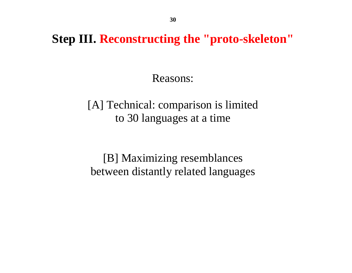**Step III. Reconstructing the "proto-skeleton"**

Reasons:

[A] Technical: comparison is limited to 30 languages at a time

[B] Maximizing resemblances between distantly related languages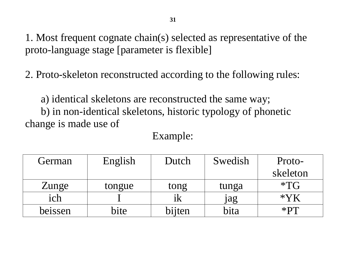1. Most frequent cognate chain(s) selected as representative of the proto-language stage [parameter is flexible]

2. Proto-skeleton reconstructed according to the following rules:

a) identical skeletons are reconstructed the same way; b) in non-identical skeletons, historic typology of phonetic change is made use of

| Example: |  |
|----------|--|
|          |  |

| German  | English | Dutch  | Swedish | Proto-   |
|---------|---------|--------|---------|----------|
|         |         |        |         | skeleton |
| Zunge   | tongue  | tong   | tunga   | $*TG$    |
| ich     |         | 1K     | jag     |          |
| beissen | bite    | bijten | bita    | $*$ $PT$ |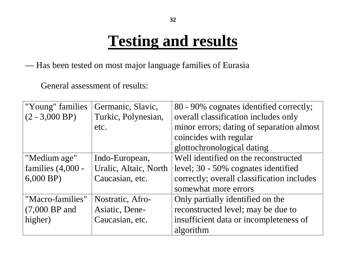## **Testing and results**

— Has been tested on most major language families of Eurasia

General assessment of results:

| "Young" families    | Germanic, Slavic,     | 80 - 90% cognates identified correctly;    |  |
|---------------------|-----------------------|--------------------------------------------|--|
| $(2 - 3,000$ BP)    | Turkic, Polynesian,   | overall classification includes only       |  |
|                     | etc.                  | minor errors; dating of separation almost  |  |
|                     |                       | coincides with regular                     |  |
|                     |                       | glottochronological dating                 |  |
| "Medium age"        | Indo-European,        | Well identified on the reconstructed       |  |
| families $(4,000 -$ | Uralic, Altaic, North | level; 30 - 50% cognates identified        |  |
| $6,000$ BP)         | Caucasian, etc.       | correctly; overall classification includes |  |
|                     |                       | somewhat more errors                       |  |
| "Macro-families"    | Nostratic, Afro-      | Only partially identified on the           |  |
| $(7,000$ BP and     | Asiatic, Dene-        | reconstructed level; may be due to         |  |
| higher)             | Caucasian, etc.       | insufficient data or incompleteness of     |  |
|                     |                       | algorithm                                  |  |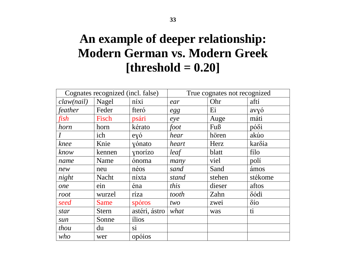### **An example of deeper relationship: Modern German vs. Modern Greek [threshold = 0.20]**

| Cognates recognized (incl. false) |              | True cognates not recognized |       |        |                      |
|-----------------------------------|--------------|------------------------------|-------|--------|----------------------|
| claw(nail)                        | Nagel        | níxi                         | ear   | Ohr    | aftí                 |
| feather                           | Feder        | fteró                        | egg   | Ei     | avyó                 |
| fish                              | Fisch        | psári                        | eye   | Auge   | máti                 |
| horn                              | horn         | kérato                       | foot  | Fuß    | $p\acute{o}\delta i$ |
| $\overline{I}$                    | ich          | eyó                          | hear  | hören  | akúo                 |
| knee                              | Knie         | yónato                       | heart | Herz   | karδía               |
| know                              | kennen       | ynorízo                      | leaf  | blatt  | filo                 |
| name                              | Name         | ónoma                        | many  | viel   | polí                 |
| new                               | neu          | néos                         | sand  | Sand   | ámos                 |
| night                             | <b>Nacht</b> | níxta                        | stand | stehen | stékome              |
| one                               | ein          | éna                          | this  | dieser | aftos                |
| root                              | wurzel       | ríza                         | tooth | Zahn   | δódi                 |
| seed                              | <b>Same</b>  | spóros                       | two   | zwei   | $\delta$ io          |
| star                              | <b>Stern</b> | astéri, ástro                | what  | was    | ti                   |
| sun                               | Sonne        | ilios                        |       |        |                      |
| thou                              | du           | si                           |       |        |                      |
| who                               | wer          | opóios                       |       |        |                      |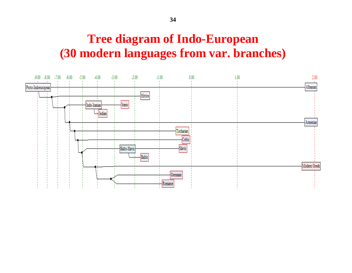### **Tree diagram of Indo-European (30 modern languages from var. branches)**